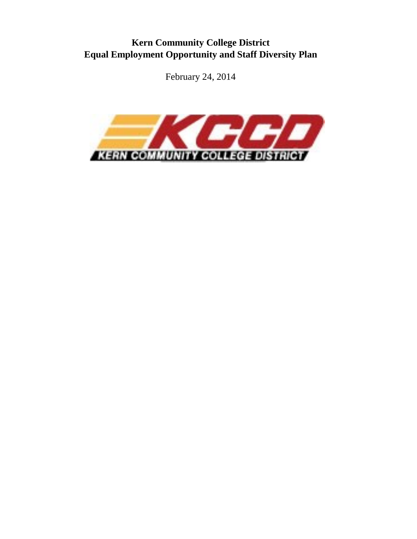# **Kern Community College District Equal Employment Opportunity and Staff Diversity Plan**

February 24, 2014

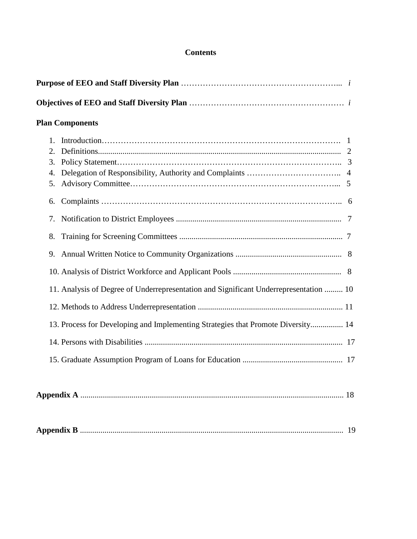# **Contents**

| <b>Plan Components</b>                                                                |  |
|---------------------------------------------------------------------------------------|--|
| $1_{-}$<br>2.<br>3.<br>4.<br>5.                                                       |  |
| 6.<br>7.                                                                              |  |
| 8.<br>9.                                                                              |  |
| 11. Analysis of Degree of Underrepresentation and Significant Underrepresentation  10 |  |
| 13. Process for Developing and Implementing Strategies that Promote Diversity 14      |  |
|                                                                                       |  |
|                                                                                       |  |
|                                                                                       |  |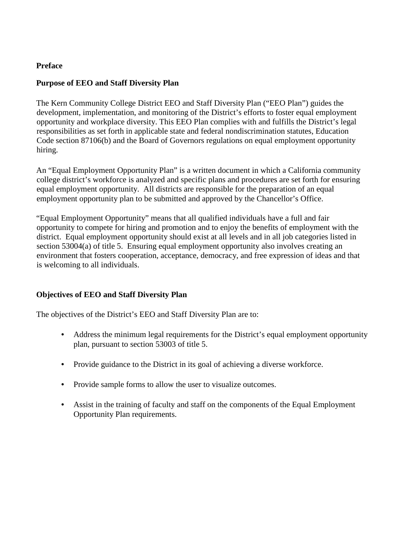### **Preface**

### **Purpose of EEO and Staff Diversity Plan**

The Kern Community College District EEO and Staff Diversity Plan ("EEO Plan") guides the development, implementation, and monitoring of the District's efforts to foster equal employment opportunity and workplace diversity. This EEO Plan complies with and fulfills the District's legal responsibilities as set forth in applicable state and federal nondiscrimination statutes, Education Code section 87106(b) and the Board of Governors regulations on equal employment opportunity hiring.

An "Equal Employment Opportunity Plan" is a written document in which a California community college district's workforce is analyzed and specific plans and procedures are set forth for ensuring equal employment opportunity. All districts are responsible for the preparation of an equal employment opportunity plan to be submitted and approved by the Chancellor's Office.

"Equal Employment Opportunity" means that all qualified individuals have a full and fair opportunity to compete for hiring and promotion and to enjoy the benefits of employment with the district. Equal employment opportunity should exist at all levels and in all job categories listed in section 53004(a) of title 5. Ensuring equal employment opportunity also involves creating an environment that fosters cooperation, acceptance, democracy, and free expression of ideas and that is welcoming to all individuals.

# **Objectives of EEO and Staff Diversity Plan**

The objectives of the District's EEO and Staff Diversity Plan are to:

- Address the minimum legal requirements for the District's equal employment opportunity plan, pursuant to section 53003 of title 5.
- Provide guidance to the District in its goal of achieving a diverse workforce.
- Provide sample forms to allow the user to visualize outcomes.
- Assist in the training of faculty and staff on the components of the Equal Employment Opportunity Plan requirements.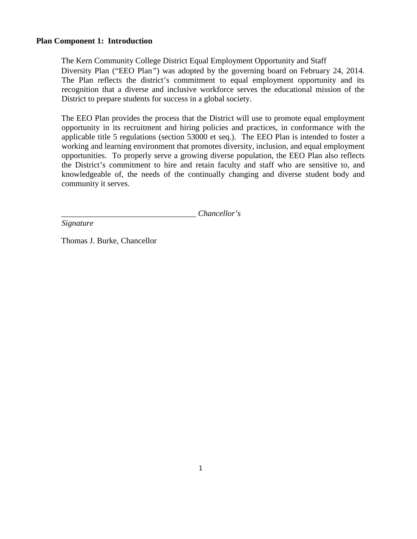#### **Plan Component 1: Introduction**

The Kern Community College District Equal Employment Opportunity and Staff Diversity Plan ("EEO Plan*"*) was adopted by the governing board on February 24, 2014. The Plan reflects the district's commitment to equal employment opportunity and its recognition that a diverse and inclusive workforce serves the educational mission of the District to prepare students for success in a global society.

The EEO Plan provides the process that the District will use to promote equal employment opportunity in its recruitment and hiring policies and practices, in conformance with the applicable title 5 regulations (section 53000 et seq.). The EEO Plan is intended to foster a working and learning environment that promotes diversity, inclusion, and equal employment opportunities. To properly serve a growing diverse population, the EEO Plan also reflects the District's commitment to hire and retain faculty and staff who are sensitive to, and knowledgeable of, the needs of the continually changing and diverse student body and community it serves.

*\_\_\_\_\_\_\_\_\_\_\_\_\_\_\_\_\_\_\_\_\_\_\_\_\_\_\_\_\_\_\_\_\_ Chancellor's* 

*Signature* 

Thomas J. Burke, Chancellor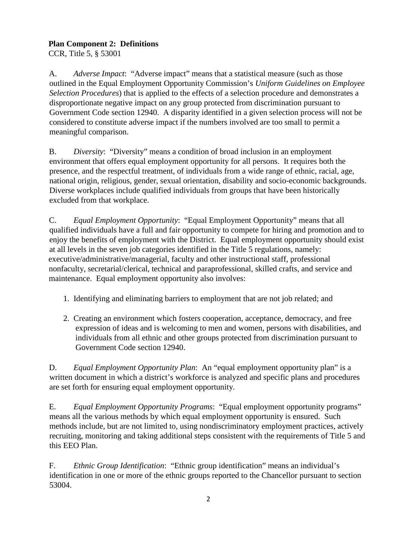# **Plan Component 2: Definitions**

CCR, Title 5, § 53001

A. *Adverse Impact*: "Adverse impact" means that a statistical measure (such as those outlined in the Equal Employment Opportunity Commission's *Uniform Guidelines on Employee Selection Procedures*) that is applied to the effects of a selection procedure and demonstrates a disproportionate negative impact on any group protected from discrimination pursuant to Government Code section 12940. A disparity identified in a given selection process will not be considered to constitute adverse impact if the numbers involved are too small to permit a meaningful comparison.

B. *Diversity*: "Diversity" means a condition of broad inclusion in an employment environment that offers equal employment opportunity for all persons. It requires both the presence, and the respectful treatment, of individuals from a wide range of ethnic, racial, age, national origin, religious, gender, sexual orientation, disability and socio-economic backgrounds. Diverse workplaces include qualified individuals from groups that have been historically excluded from that workplace.

C. *Equal Employment Opportunity*: "Equal Employment Opportunity" means that all qualified individuals have a full and fair opportunity to compete for hiring and promotion and to enjoy the benefits of employment with the District. Equal employment opportunity should exist at all levels in the seven job categories identified in the Title 5 regulations, namely: executive/administrative/managerial, faculty and other instructional staff, professional nonfaculty, secretarial/clerical, technical and paraprofessional, skilled crafts, and service and maintenance. Equal employment opportunity also involves:

- 1. Identifying and eliminating barriers to employment that are not job related; and
- 2. Creating an environment which fosters cooperation, acceptance, democracy, and free expression of ideas and is welcoming to men and women, persons with disabilities, and individuals from all ethnic and other groups protected from discrimination pursuant to Government Code section 12940.

D. *Equal Employment Opportunity Plan*: An "equal employment opportunity plan" is a written document in which a district's workforce is analyzed and specific plans and procedures are set forth for ensuring equal employment opportunity.

E. *Equal Employment Opportunity Programs*: "Equal employment opportunity programs" means all the various methods by which equal employment opportunity is ensured. Such methods include, but are not limited to, using nondiscriminatory employment practices, actively recruiting, monitoring and taking additional steps consistent with the requirements of Title 5 and this EEO Plan.

F. *Ethnic Group Identification*: "Ethnic group identification" means an individual's identification in one or more of the ethnic groups reported to the Chancellor pursuant to section 53004.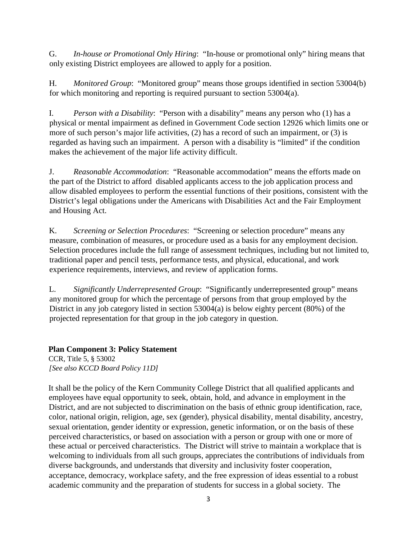G. *In-house or Promotional Only Hiring*: "In-house or promotional only" hiring means that only existing District employees are allowed to apply for a position.

H. *Monitored Group*: "Monitored group" means those groups identified in section 53004(b) for which monitoring and reporting is required pursuant to section 53004(a).

I. *Person with a Disability*: "Person with a disability" means any person who (1) has a physical or mental impairment as defined in Government Code section 12926 which limits one or more of such person's major life activities, (2) has a record of such an impairment, or (3) is regarded as having such an impairment. A person with a disability is "limited" if the condition makes the achievement of the major life activity difficult.

J. *Reasonable Accommodation*: "Reasonable accommodation" means the efforts made on the part of the District to afford disabled applicants access to the job application process and allow disabled employees to perform the essential functions of their positions, consistent with the District's legal obligations under the Americans with Disabilities Act and the Fair Employment and Housing Act.

K. *Screening or Selection Procedures*: "Screening or selection procedure" means any measure, combination of measures, or procedure used as a basis for any employment decision. Selection procedures include the full range of assessment techniques, including but not limited to, traditional paper and pencil tests, performance tests, and physical, educational, and work experience requirements, interviews, and review of application forms.

L. *Significantly Underrepresented Group*: "Significantly underrepresented group" means any monitored group for which the percentage of persons from that group employed by the District in any job category listed in section 53004(a) is below eighty percent (80%) of the projected representation for that group in the job category in question.

# **Plan Component 3: Policy Statement**

CCR, Title 5, § 53002 *[See also KCCD Board Policy 11D]* 

It shall be the policy of the Kern Community College District that all qualified applicants and employees have equal opportunity to seek, obtain, hold, and advance in employment in the District, and are not subjected to discrimination on the basis of ethnic group identification, race, color, national origin, religion, age, sex (gender), physical disability, mental disability, ancestry, sexual orientation, gender identity or expression, genetic information, or on the basis of these perceived characteristics, or based on association with a person or group with one or more of these actual or perceived characteristics. The District will strive to maintain a workplace that is welcoming to individuals from all such groups, appreciates the contributions of individuals from diverse backgrounds, and understands that diversity and inclusivity foster cooperation, acceptance, democracy, workplace safety, and the free expression of ideas essential to a robust academic community and the preparation of students for success in a global society. The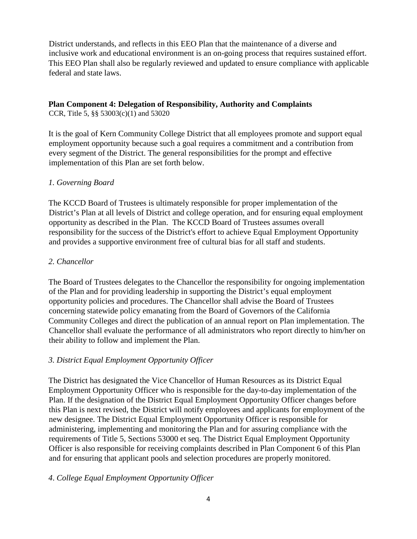District understands, and reflects in this EEO Plan that the maintenance of a diverse and inclusive work and educational environment is an on-going process that requires sustained effort. This EEO Plan shall also be regularly reviewed and updated to ensure compliance with applicable federal and state laws.

### **Plan Component 4: Delegation of Responsibility, Authority and Complaints**

CCR, Title 5, §§ 53003(c)(1) and 53020

It is the goal of Kern Community College District that all employees promote and support equal employment opportunity because such a goal requires a commitment and a contribution from every segment of the District. The general responsibilities for the prompt and effective implementation of this Plan are set forth below.

# *1. Governing Board*

The KCCD Board of Trustees is ultimately responsible for proper implementation of the District's Plan at all levels of District and college operation, and for ensuring equal employment opportunity as described in the Plan. The KCCD Board of Trustees assumes overall responsibility for the success of the District's effort to achieve Equal Employment Opportunity and provides a supportive environment free of cultural bias for all staff and students.

# *2. Chancellor*

The Board of Trustees delegates to the Chancellor the responsibility for ongoing implementation of the Plan and for providing leadership in supporting the District's equal employment opportunity policies and procedures. The Chancellor shall advise the Board of Trustees concerning statewide policy emanating from the Board of Governors of the California Community Colleges and direct the publication of an annual report on Plan implementation. The Chancellor shall evaluate the performance of all administrators who report directly to him/her on their ability to follow and implement the Plan.

# *3. District Equal Employment Opportunity Officer*

The District has designated the Vice Chancellor of Human Resources as its District Equal Employment Opportunity Officer who is responsible for the day-to-day implementation of the Plan. If the designation of the District Equal Employment Opportunity Officer changes before this Plan is next revised, the District will notify employees and applicants for employment of the new designee. The District Equal Employment Opportunity Officer is responsible for administering, implementing and monitoring the Plan and for assuring compliance with the requirements of Title 5, Sections 53000 et seq. The District Equal Employment Opportunity Officer is also responsible for receiving complaints described in Plan Component 6 of this Plan and for ensuring that applicant pools and selection procedures are properly monitored.

# *4*. *College Equal Employment Opportunity Officer*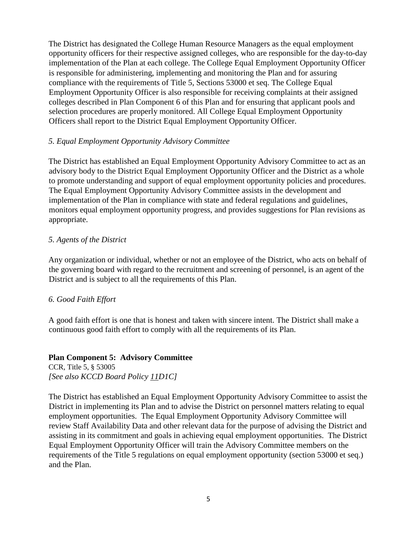The District has designated the College Human Resource Managers as the equal employment opportunity officers for their respective assigned colleges, who are responsible for the day-to-day implementation of the Plan at each college. The College Equal Employment Opportunity Officer is responsible for administering, implementing and monitoring the Plan and for assuring compliance with the requirements of Title 5, Sections 53000 et seq. The College Equal Employment Opportunity Officer is also responsible for receiving complaints at their assigned colleges described in Plan Component 6 of this Plan and for ensuring that applicant pools and selection procedures are properly monitored. All College Equal Employment Opportunity Officers shall report to the District Equal Employment Opportunity Officer.

# *5. Equal Employment Opportunity Advisory Committee*

The District has established an Equal Employment Opportunity Advisory Committee to act as an advisory body to the District Equal Employment Opportunity Officer and the District as a whole to promote understanding and support of equal employment opportunity policies and procedures. The Equal Employment Opportunity Advisory Committee assists in the development and implementation of the Plan in compliance with state and federal regulations and guidelines, monitors equal employment opportunity progress, and provides suggestions for Plan revisions as appropriate.

#### *5. Agents of the District*

Any organization or individual, whether or not an employee of the District, who acts on behalf of the governing board with regard to the recruitment and screening of personnel, is an agent of the District and is subject to all the requirements of this Plan.

# *6. Good Faith Effort*

A good faith effort is one that is honest and taken with sincere intent. The District shall make a continuous good faith effort to comply with all the requirements of its Plan.

#### **Plan Component 5: Advisory Committee**

CCR, Title 5, § 53005 *[See also KCCD Board Policy 11D1C]* 

The District has established an Equal Employment Opportunity Advisory Committee to assist the District in implementing its Plan and to advise the District on personnel matters relating to equal employment opportunities. The Equal Employment Opportunity Advisory Committee will review Staff Availability Data and other relevant data for the purpose of advising the District and assisting in its commitment and goals in achieving equal employment opportunities. The District Equal Employment Opportunity Officer will train the Advisory Committee members on the requirements of the Title 5 regulations on equal employment opportunity (section 53000 et seq.) and the Plan.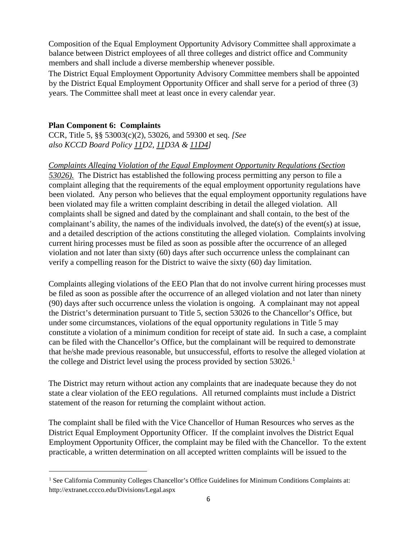Composition of the Equal Employment Opportunity Advisory Committee shall approximate a balance between District employees of all three colleges and district office and Community members and shall include a diverse membership whenever possible.

The District Equal Employment Opportunity Advisory Committee members shall be appointed by the District Equal Employment Opportunity Officer and shall serve for a period of three (3) years. The Committee shall meet at least once in every calendar year.

# **Plan Component 6: Complaints**

CCR, Title 5, §§ 53003(c)(2), 53026, and 59300 et seq. *[See also KCCD Board Policy 11D2, 11D3A & 11D4]* 

# *Complaints Alleging Violation of the Equal Employment Opportunity Regulations (Section*

*53026).* The District has established the following process permitting any person to file a complaint alleging that the requirements of the equal employment opportunity regulations have been violated. Any person who believes that the equal employment opportunity regulations have been violated may file a written complaint describing in detail the alleged violation. All complaints shall be signed and dated by the complainant and shall contain, to the best of the complainant's ability, the names of the individuals involved, the date(s) of the event(s) at issue, and a detailed description of the actions constituting the alleged violation. Complaints involving current hiring processes must be filed as soon as possible after the occurrence of an alleged violation and not later than sixty (60) days after such occurrence unless the complainant can verify a compelling reason for the District to waive the sixty (60) day limitation.

Complaints alleging violations of the EEO Plan that do not involve current hiring processes must be filed as soon as possible after the occurrence of an alleged violation and not later than ninety (90) days after such occurrence unless the violation is ongoing. A complainant may not appeal the District's determination pursuant to Title 5, section 53026 to the Chancellor's Office, but under some circumstances, violations of the equal opportunity regulations in Title 5 may constitute a violation of a minimum condition for receipt of state aid. In such a case, a complaint can be filed with the Chancellor's Office, but the complainant will be required to demonstrate that he/she made previous reasonable, but unsuccessful, efforts to resolve the alleged violation at the college and District level using the process provided by section  $53026$ .<sup>[1](#page-9-0)</sup>

The District may return without action any complaints that are inadequate because they do not state a clear violation of the EEO regulations. All returned complaints must include a District statement of the reason for returning the complaint without action.

The complaint shall be filed with the Vice Chancellor of Human Resources who serves as the District Equal Employment Opportunity Officer. If the complaint involves the District Equal Employment Opportunity Officer, the complaint may be filed with the Chancellor. To the extent practicable, a written determination on all accepted written complaints will be issued to the

<span id="page-9-0"></span><sup>&</sup>lt;sup>1</sup> See California Community Colleges Chancellor's Office Guidelines for Minimum Conditions Complaints at: http://extranet.cccco.edu/Divisions/Legal.aspx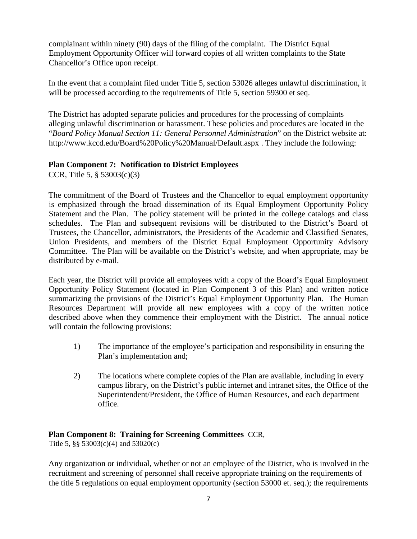complainant within ninety (90) days of the filing of the complaint. The District Equal Employment Opportunity Officer will forward copies of all written complaints to the State Chancellor's Office upon receipt.

In the event that a complaint filed under Title 5, section 53026 alleges unlawful discrimination, it will be processed according to the requirements of Title 5, section 59300 et seq.

The District has adopted separate policies and procedures for the processing of complaints alleging unlawful discrimination or harassment. These policies and procedures are located in the "*Board Policy Manual Section 11: General Personnel Administration*" on the District website at: http://www.kccd.edu/Board%20Policy%20Manual/Default.aspx . They include the following:

# **Plan Component 7: Notification to District Employees**

CCR, Title 5, § 53003(c)(3)

The commitment of the Board of Trustees and the Chancellor to equal employment opportunity is emphasized through the broad dissemination of its Equal Employment Opportunity Policy Statement and the Plan. The policy statement will be printed in the college catalogs and class schedules. The Plan and subsequent revisions will be distributed to the District's Board of Trustees, the Chancellor, administrators, the Presidents of the Academic and Classified Senates, Union Presidents, and members of the District Equal Employment Opportunity Advisory Committee. The Plan will be available on the District's website, and when appropriate, may be distributed by e-mail.

Each year, the District will provide all employees with a copy of the Board's Equal Employment Opportunity Policy Statement (located in Plan Component 3 of this Plan) and written notice summarizing the provisions of the District's Equal Employment Opportunity Plan. The Human Resources Department will provide all new employees with a copy of the written notice described above when they commence their employment with the District. The annual notice will contain the following provisions:

- 1) The importance of the employee's participation and responsibility in ensuring the Plan's implementation and;
- 2) The locations where complete copies of the Plan are available, including in every campus library, on the District's public internet and intranet sites, the Office of the Superintendent/President, the Office of Human Resources, and each department office.

# **Plan Component 8: Training for Screening Committees** CCR,

Title 5, §§ 53003(c)(4) and 53020(c)

Any organization or individual, whether or not an employee of the District, who is involved in the recruitment and screening of personnel shall receive appropriate training on the requirements of the title 5 regulations on equal employment opportunity (section 53000 et. seq.); the requirements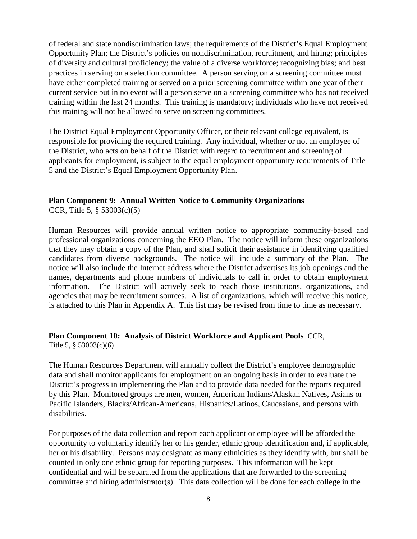of federal and state nondiscrimination laws; the requirements of the District's Equal Employment Opportunity Plan; the District's policies on nondiscrimination, recruitment, and hiring; principles of diversity and cultural proficiency; the value of a diverse workforce; recognizing bias; and best practices in serving on a selection committee. A person serving on a screening committee must have either completed training or served on a prior screening committee within one year of their current service but in no event will a person serve on a screening committee who has not received training within the last 24 months. This training is mandatory; individuals who have not received this training will not be allowed to serve on screening committees.

The District Equal Employment Opportunity Officer, or their relevant college equivalent, is responsible for providing the required training. Any individual, whether or not an employee of the District, who acts on behalf of the District with regard to recruitment and screening of applicants for employment, is subject to the equal employment opportunity requirements of Title 5 and the District's Equal Employment Opportunity Plan.

# **Plan Component 9: Annual Written Notice to Community Organizations**

CCR, Title 5, § 53003(c)(5)

Human Resources will provide annual written notice to appropriate community-based and professional organizations concerning the EEO Plan. The notice will inform these organizations that they may obtain a copy of the Plan, and shall solicit their assistance in identifying qualified candidates from diverse backgrounds. The notice will include a summary of the Plan. The notice will also include the Internet address where the District advertises its job openings and the names, departments and phone numbers of individuals to call in order to obtain employment information. The District will actively seek to reach those institutions, organizations, and agencies that may be recruitment sources. A list of organizations, which will receive this notice, is attached to this Plan in Appendix A. This list may be revised from time to time as necessary.

#### **Plan Component 10: Analysis of District Workforce and Applicant Pools** CCR, Title 5, § 53003(c)(6)

The Human Resources Department will annually collect the District's employee demographic data and shall monitor applicants for employment on an ongoing basis in order to evaluate the District's progress in implementing the Plan and to provide data needed for the reports required by this Plan. Monitored groups are men, women, American Indians/Alaskan Natives, Asians or Pacific Islanders, Blacks/African-Americans, Hispanics/Latinos, Caucasians, and persons with disabilities.

For purposes of the data collection and report each applicant or employee will be afforded the opportunity to voluntarily identify her or his gender, ethnic group identification and, if applicable, her or his disability. Persons may designate as many ethnicities as they identify with, but shall be counted in only one ethnic group for reporting purposes. This information will be kept confidential and will be separated from the applications that are forwarded to the screening committee and hiring administrator(s). This data collection will be done for each college in the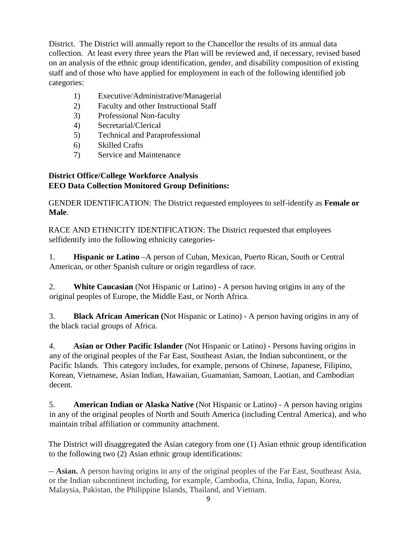District. The District will annually report to the Chancellor the results of its annual data collection. At least every three years the Plan will be reviewed and, if necessary, revised based on an analysis of the ethnic group identification, gender, and disability composition of existing staff and of those who have applied for employment in each of the following identified job categories:

- 1) Executive/Administrative/Managerial
- 2) Faculty and other Instructional Staff
- 3) Professional Non-faculty
- 4) Secretarial/Clerical
- 5) Technical and Paraprofessional
- 6) Skilled Crafts
- 7) Service and Maintenance

# **District Office/College Workforce Analysis EEO Data Collection Monitored Group Definitions:**

GENDER IDENTIFICATION: The District requested employees to self-identify as **Female or Male**.

RACE AND ETHNICITY IDENTIFICATION: The District requested that employees selfidentify into the following ethnicity categories-

1. **Hispanic or Latino** –A person of Cuban, Mexican, Puerto Rican, South or Central American, or other Spanish culture or origin regardless of race.

2. **White Caucasian** (Not Hispanic or Latino) - A person having origins in any of the original peoples of Europe, the Middle East, or North Africa.

3. **Black African American (**Not Hispanic or Latino) - A person having origins in any of the black racial groups of Africa.

4. **Asian or Other Pacific Islander** (Not Hispanic or Latino) - Persons having origins in any of the original peoples of the Far East, Southeast Asian, the Indian subcontinent, or the Pacific Islands. This category includes, for example, persons of Chinese, Japanese, Filipino, Korean, Vietnamese, Asian Indian, Hawaiian, Guamanian, Samoan, Laotian, and Cambodian decent.

5. **American Indian or Alaska Native** (Not Hispanic or Latino) - A person having origins in any of the original peoples of North and South America (including Central America), and who maintain tribal affiliation or community attachment.

The District will disaggregated the Asian category from one (1) Asian ethnic group identification to the following two (2) Asian ethnic group identifications:

-- **Asian.** A person having origins in any of the original peoples of the Far East, Southeast Asia, or the Indian subcontinent including, for example, Cambodia, China, India, Japan, Korea, Malaysia, Pakistan, the Philippine Islands, Thailand, and Vietnam.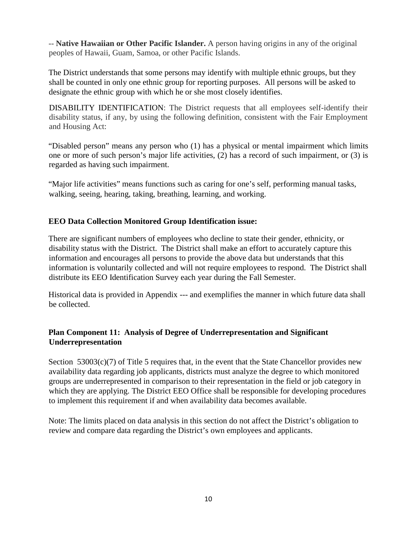-- **Native Hawaiian or Other Pacific Islander.** A person having origins in any of the original peoples of Hawaii, Guam, Samoa, or other Pacific Islands.

The District understands that some persons may identify with multiple ethnic groups, but they shall be counted in only one ethnic group for reporting purposes. All persons will be asked to designate the ethnic group with which he or she most closely identifies.

DISABILITY IDENTIFICATION: The District requests that all employees self-identify their disability status, if any, by using the following definition, consistent with the Fair Employment and Housing Act:

"Disabled person" means any person who (1) has a physical or mental impairment which limits one or more of such person's major life activities, (2) has a record of such impairment, or (3) is regarded as having such impairment.

"Major life activities" means functions such as caring for one's self, performing manual tasks, walking, seeing, hearing, taking, breathing, learning, and working.

# **EEO Data Collection Monitored Group Identification issue:**

There are significant numbers of employees who decline to state their gender, ethnicity, or disability status with the District. The District shall make an effort to accurately capture this information and encourages all persons to provide the above data but understands that this information is voluntarily collected and will not require employees to respond. The District shall distribute its EEO Identification Survey each year during the Fall Semester.

Historical data is provided in Appendix --- and exemplifies the manner in which future data shall be collected.

# **Plan Component 11: Analysis of Degree of Underrepresentation and Significant Underrepresentation**

Section  $53003(c)(7)$  of Title 5 requires that, in the event that the State Chancellor provides new availability data regarding job applicants, districts must analyze the degree to which monitored groups are underrepresented in comparison to their representation in the field or job category in which they are applying. The District EEO Office shall be responsible for developing procedures to implement this requirement if and when availability data becomes available.

Note: The limits placed on data analysis in this section do not affect the District's obligation to review and compare data regarding the District's own employees and applicants.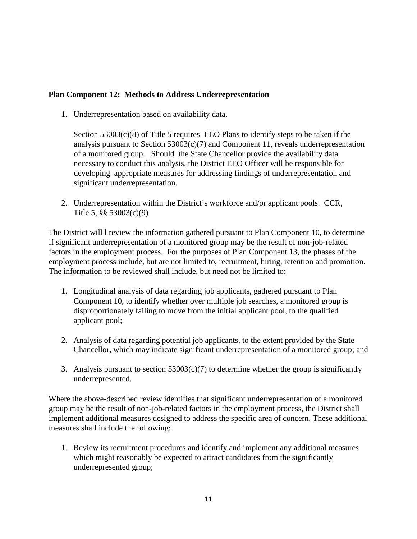# **Plan Component 12: Methods to Address Underrepresentation**

1. Underrepresentation based on availability data.

Section  $53003(c)(8)$  of Title 5 requires EEO Plans to identify steps to be taken if the analysis pursuant to Section 53003(c)(7) and Component 11, reveals underrepresentation of a monitored group. Should the State Chancellor provide the availability data necessary to conduct this analysis, the District EEO Officer will be responsible for developing appropriate measures for addressing findings of underrepresentation and significant underrepresentation.

2. Underrepresentation within the District's workforce and/or applicant pools. CCR, Title 5, §§ 53003(c)(9)

The District will l review the information gathered pursuant to Plan Component 10, to determine if significant underrepresentation of a monitored group may be the result of non-job-related factors in the employment process. For the purposes of Plan Component 13, the phases of the employment process include, but are not limited to, recruitment, hiring, retention and promotion. The information to be reviewed shall include, but need not be limited to:

- 1. Longitudinal analysis of data regarding job applicants, gathered pursuant to Plan Component 10, to identify whether over multiple job searches, a monitored group is disproportionately failing to move from the initial applicant pool, to the qualified applicant pool;
- 2. Analysis of data regarding potential job applicants, to the extent provided by the State Chancellor, which may indicate significant underrepresentation of a monitored group; and
- 3. Analysis pursuant to section  $53003(c)(7)$  to determine whether the group is significantly underrepresented.

Where the above-described review identifies that significant underrepresentation of a monitored group may be the result of non-job-related factors in the employment process, the District shall implement additional measures designed to address the specific area of concern. These additional measures shall include the following:

1. Review its recruitment procedures and identify and implement any additional measures which might reasonably be expected to attract candidates from the significantly underrepresented group;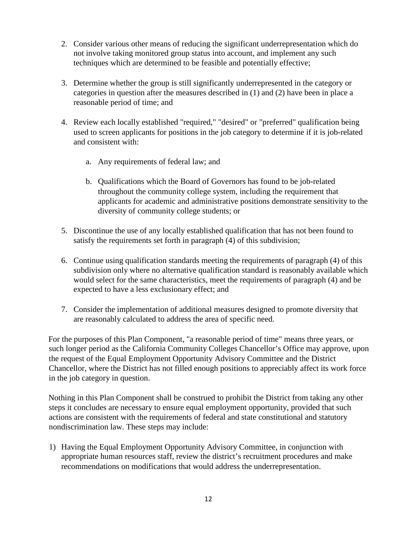- 2. Consider various other means of reducing the significant underrepresentation which do not involve taking monitored group status into account, and implement any such techniques which are determined to be feasible and potentially effective;
- 3. Determine whether the group is still significantly underrepresented in the category or categories in question after the measures described in (1) and (2) have been in place a reasonable period of time; and
- 4. Review each locally established "required," "desired" or "preferred" qualification being used to screen applicants for positions in the job category to determine if it is job-related and consistent with:
	- a. Any requirements of federal law; and
	- b. Qualifications which the Board of Governors has found to be job-related throughout the community college system, including the requirement that applicants for academic and administrative positions demonstrate sensitivity to the diversity of community college students; or
- 5. Discontinue the use of any locally established qualification that has not been found to satisfy the requirements set forth in paragraph (4) of this subdivision;
- 6. Continue using qualification standards meeting the requirements of paragraph (4) of this subdivision only where no alternative qualification standard is reasonably available which would select for the same characteristics, meet the requirements of paragraph (4) and be expected to have a less exclusionary effect; and
- 7. Consider the implementation of additional measures designed to promote diversity that are reasonably calculated to address the area of specific need.

For the purposes of this Plan Component, "a reasonable period of time" means three years, or such longer period as the California Community Colleges Chancellor's Office may approve, upon the request of the Equal Employment Opportunity Advisory Committee and the District Chancellor, where the District has not filled enough positions to appreciably affect its work force in the job category in question.

Nothing in this Plan Component shall be construed to prohibit the District from taking any other steps it concludes are necessary to ensure equal employment opportunity, provided that such actions are consistent with the requirements of federal and state constitutional and statutory nondiscrimination law. These steps may include:

1) Having the Equal Employment Opportunity Advisory Committee, in conjunction with appropriate human resources staff, review the district's recruitment procedures and make recommendations on modifications that would address the underrepresentation.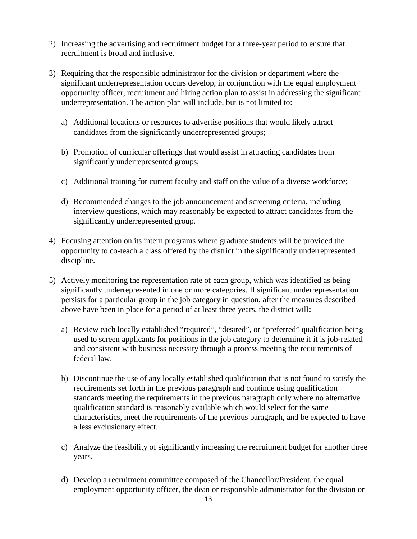- 2) Increasing the advertising and recruitment budget for a three-year period to ensure that recruitment is broad and inclusive.
- 3) Requiring that the responsible administrator for the division or department where the significant underrepresentation occurs develop, in conjunction with the equal employment opportunity officer, recruitment and hiring action plan to assist in addressing the significant underrepresentation. The action plan will include, but is not limited to:
	- a) Additional locations or resources to advertise positions that would likely attract candidates from the significantly underrepresented groups;
	- b) Promotion of curricular offerings that would assist in attracting candidates from significantly underrepresented groups;
	- c) Additional training for current faculty and staff on the value of a diverse workforce;
	- d) Recommended changes to the job announcement and screening criteria, including interview questions, which may reasonably be expected to attract candidates from the significantly underrepresented group.
- 4) Focusing attention on its intern programs where graduate students will be provided the opportunity to co-teach a class offered by the district in the significantly underrepresented discipline.
- 5) Actively monitoring the representation rate of each group, which was identified as being significantly underrepresented in one or more categories. If significant underrepresentation persists for a particular group in the job category in question, after the measures described above have been in place for a period of at least three years, the district will**:** 
	- a) Review each locally established "required", "desired", or "preferred" qualification being used to screen applicants for positions in the job category to determine if it is job-related and consistent with business necessity through a process meeting the requirements of federal law.
	- b) Discontinue the use of any locally established qualification that is not found to satisfy the requirements set forth in the previous paragraph and continue using qualification standards meeting the requirements in the previous paragraph only where no alternative qualification standard is reasonably available which would select for the same characteristics, meet the requirements of the previous paragraph, and be expected to have a less exclusionary effect.
	- c) Analyze the feasibility of significantly increasing the recruitment budget for another three years.
	- d) Develop a recruitment committee composed of the Chancellor/President, the equal employment opportunity officer, the dean or responsible administrator for the division or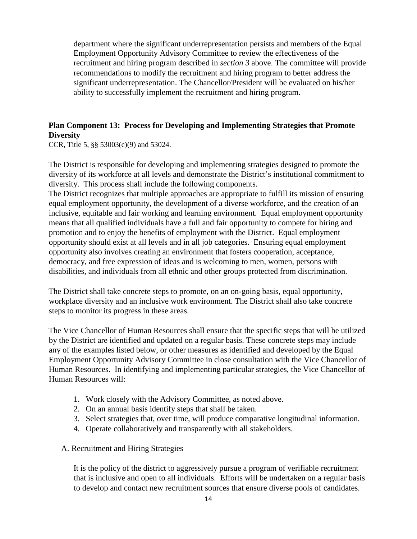department where the significant underrepresentation persists and members of the Equal Employment Opportunity Advisory Committee to review the effectiveness of the recruitment and hiring program described in *section 3* above. The committee will provide recommendations to modify the recruitment and hiring program to better address the significant underrepresentation. The Chancellor/President will be evaluated on his/her ability to successfully implement the recruitment and hiring program.

# **Plan Component 13: Process for Developing and Implementing Strategies that Promote Diversity**

CCR, Title 5, §§ 53003(c)(9) and 53024.

The District is responsible for developing and implementing strategies designed to promote the diversity of its workforce at all levels and demonstrate the District's institutional commitment to diversity. This process shall include the following components.

The District recognizes that multiple approaches are appropriate to fulfill its mission of ensuring equal employment opportunity, the development of a diverse workforce, and the creation of an inclusive, equitable and fair working and learning environment. Equal employment opportunity means that all qualified individuals have a full and fair opportunity to compete for hiring and promotion and to enjoy the benefits of employment with the District. Equal employment opportunity should exist at all levels and in all job categories. Ensuring equal employment opportunity also involves creating an environment that fosters cooperation, acceptance, democracy, and free expression of ideas and is welcoming to men, women, persons with disabilities, and individuals from all ethnic and other groups protected from discrimination.

The District shall take concrete steps to promote, on an on-going basis, equal opportunity, workplace diversity and an inclusive work environment. The District shall also take concrete steps to monitor its progress in these areas.

The Vice Chancellor of Human Resources shall ensure that the specific steps that will be utilized by the District are identified and updated on a regular basis. These concrete steps may include any of the examples listed below, or other measures as identified and developed by the Equal Employment Opportunity Advisory Committee in close consultation with the Vice Chancellor of Human Resources. In identifying and implementing particular strategies, the Vice Chancellor of Human Resources will:

- 1. Work closely with the Advisory Committee, as noted above.
- 2. On an annual basis identify steps that shall be taken.
- 3. Select strategies that, over time, will produce comparative longitudinal information.
- 4. Operate collaboratively and transparently with all stakeholders.
- A. Recruitment and Hiring Strategies

It is the policy of the district to aggressively pursue a program of verifiable recruitment that is inclusive and open to all individuals. Efforts will be undertaken on a regular basis to develop and contact new recruitment sources that ensure diverse pools of candidates.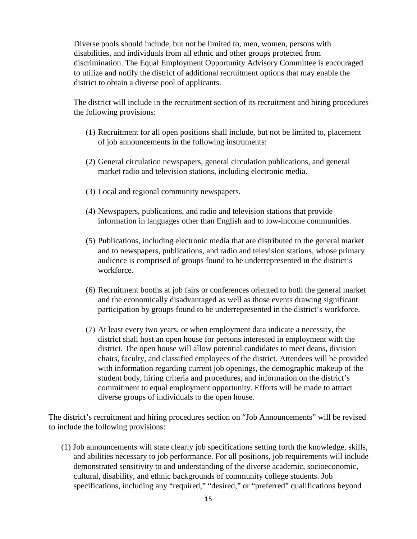Diverse pools should include, but not be limited to, men, women, persons with disabilities, and individuals from all ethnic and other groups protected from discrimination. The Equal Employment Opportunity Advisory Committee is encouraged to utilize and notify the district of additional recruitment options that may enable the district to obtain a diverse pool of applicants.

The district will include in the recruitment section of its recruitment and hiring procedures the following provisions:

- (1) Recruitment for all open positions shall include, but not be limited to, placement of job announcements in the following instruments:
- (2) General circulation newspapers, general circulation publications, and general market radio and television stations, including electronic media.
- (3) Local and regional community newspapers.
- (4) Newspapers, publications, and radio and television stations that provide information in languages other than English and to low-income communities.
- (5) Publications, including electronic media that are distributed to the general market and to newspapers, publications, and radio and television stations, whose primary audience is comprised of groups found to be underrepresented in the district's workforce.
- (6) Recruitment booths at job fairs or conferences oriented to both the general market and the economically disadvantaged as well as those events drawing significant participation by groups found to be underrepresented in the district's workforce.
- (7) At least every two years, or when employment data indicate a necessity, the district shall host an open house for persons interested in employment with the district. The open house will allow potential candidates to meet deans, division chairs, faculty, and classified employees of the district. Attendees will be provided with information regarding current job openings, the demographic makeup of the student body, hiring criteria and procedures, and information on the district's commitment to equal employment opportunity. Efforts will be made to attract diverse groups of individuals to the open house.

The district's recruitment and hiring procedures section on "Job Announcements" will be revised to include the following provisions:

(1) Job announcements will state clearly job specifications setting forth the knowledge, skills, and abilities necessary to job performance. For all positions, job requirements will include demonstrated sensitivity to and understanding of the diverse academic, socioeconomic, cultural, disability, and ethnic backgrounds of community college students. Job specifications, including any "required," "desired," or "preferred" qualifications beyond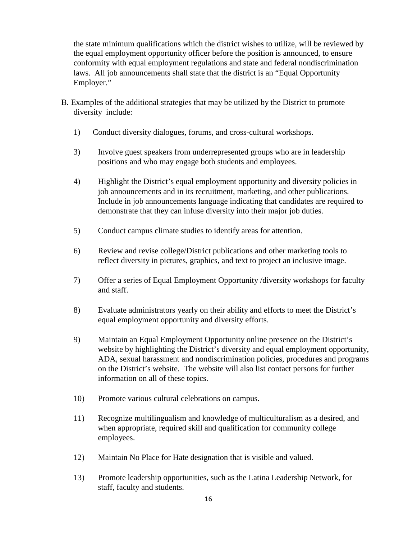the state minimum qualifications which the district wishes to utilize, will be reviewed by the equal employment opportunity officer before the position is announced, to ensure conformity with equal employment regulations and state and federal nondiscrimination laws. All job announcements shall state that the district is an "Equal Opportunity Employer."

- B. Examples of the additional strategies that may be utilized by the District to promote diversity include:
	- 1) Conduct diversity dialogues, forums, and cross-cultural workshops.
	- 3) Involve guest speakers from underrepresented groups who are in leadership positions and who may engage both students and employees.
	- 4) Highlight the District's equal employment opportunity and diversity policies in job announcements and in its recruitment, marketing, and other publications. Include in job announcements language indicating that candidates are required to demonstrate that they can infuse diversity into their major job duties.
	- 5) Conduct campus climate studies to identify areas for attention.
	- 6) Review and revise college/District publications and other marketing tools to reflect diversity in pictures, graphics, and text to project an inclusive image.
	- 7) Offer a series of Equal Employment Opportunity /diversity workshops for faculty and staff.
	- 8) Evaluate administrators yearly on their ability and efforts to meet the District's equal employment opportunity and diversity efforts.
	- 9) Maintain an Equal Employment Opportunity online presence on the District's website by highlighting the District's diversity and equal employment opportunity, ADA, sexual harassment and nondiscrimination policies, procedures and programs on the District's website. The website will also list contact persons for further information on all of these topics.
	- 10) Promote various cultural celebrations on campus.
	- 11) Recognize multilingualism and knowledge of multiculturalism as a desired, and when appropriate, required skill and qualification for community college employees.
	- 12) Maintain No Place for Hate designation that is visible and valued.
	- 13) Promote leadership opportunities, such as the Latina Leadership Network, for staff, faculty and students.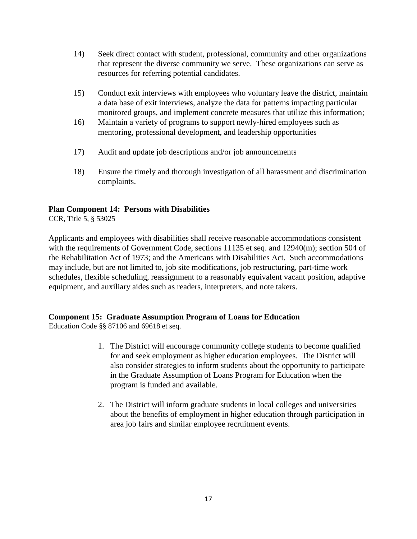- 14) Seek direct contact with student, professional, community and other organizations that represent the diverse community we serve. These organizations can serve as resources for referring potential candidates.
- 15) Conduct exit interviews with employees who voluntary leave the district, maintain a data base of exit interviews, analyze the data for patterns impacting particular monitored groups, and implement concrete measures that utilize this information;
- 16) Maintain a variety of programs to support newly-hired employees such as mentoring, professional development, and leadership opportunities
- 17) Audit and update job descriptions and/or job announcements
- 18) Ensure the timely and thorough investigation of all harassment and discrimination complaints.

# **Plan Component 14: Persons with Disabilities**

CCR, Title 5, § 53025

Applicants and employees with disabilities shall receive reasonable accommodations consistent with the requirements of Government Code, sections 11135 et seq. and 12940(m); section 504 of the Rehabilitation Act of 1973; and the Americans with Disabilities Act. Such accommodations may include, but are not limited to, job site modifications, job restructuring, part-time work schedules, flexible scheduling, reassignment to a reasonably equivalent vacant position, adaptive equipment, and auxiliary aides such as readers, interpreters, and note takers.

# **Component 15: Graduate Assumption Program of Loans for Education**

Education Code §§ 87106 and 69618 et seq.

- 1. The District will encourage community college students to become qualified for and seek employment as higher education employees. The District will also consider strategies to inform students about the opportunity to participate in the Graduate Assumption of Loans Program for Education when the program is funded and available.
- 2. The District will inform graduate students in local colleges and universities about the benefits of employment in higher education through participation in area job fairs and similar employee recruitment events.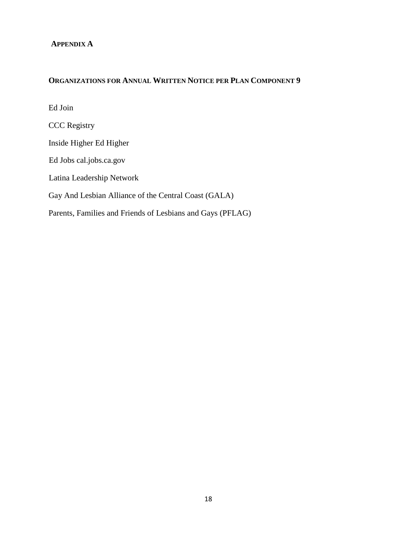#### **APPENDIX A**

# **ORGANIZATIONS FOR ANNUAL WRITTEN NOTICE PER PLAN COMPONENT 9**

Ed Join CCC Registry Inside Higher Ed Higher Ed Jobs cal.jobs.ca.gov Latina Leadership Network Gay And Lesbian Alliance of the Central Coast (GALA) Parents, Families and Friends of Lesbians and Gays (PFLAG)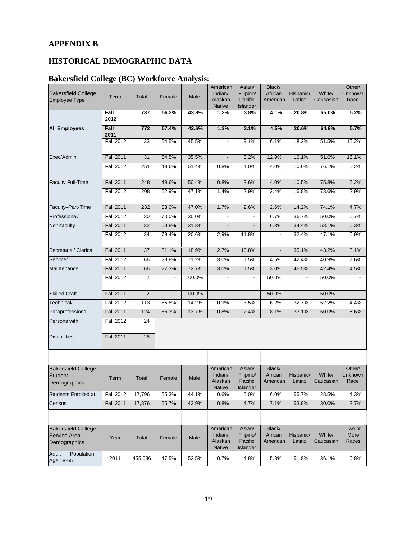# **APPENDIX B**

# **HISTORICAL DEMOGRAPHIC DATA**

# **Bakersfield College (BC) Workforce Analysis:**

|                                  |                  |                |                          |        | American                     | Asian/                   | Black/              |                          |                     | Other/                 |
|----------------------------------|------------------|----------------|--------------------------|--------|------------------------------|--------------------------|---------------------|--------------------------|---------------------|------------------------|
| <b>Bakersfield College</b>       | Term             | <b>Total</b>   | Female                   | Male   | Indian/                      | Filipino/                | African             | Hispanic/                | White/              | Unknown                |
| <b>Employee Type</b>             |                  |                |                          |        | Alaskan<br><b>Native</b>     | Pacific<br>Islander      | American            | Latino                   | Caucasian           | Race                   |
|                                  | Fall             | 737            | 56.2%                    | 43.8%  | 1.2%                         | 3.8%                     | 4.1%                | 20.8%                    | 65.0%               | 5.2%                   |
|                                  | 2012             |                |                          |        |                              |                          |                     |                          |                     |                        |
| <b>All Employees</b>             | Fall<br>2011     | 772            | 57.4%                    | 42.6%  | 1.3%                         | 3.1%                     | 4.5%                | 20.6%                    | 64.8%               | 5.7%                   |
|                                  | <b>Fall 2012</b> | 33             | 54.5%                    | 45.5%  | $\overline{\phantom{a}}$     | 9.1%                     | 6.1%                | 18.2%                    | 51.5%               | 15.2%                  |
| Exec/Admin                       | <b>Fall 2011</b> | 31             | 64.5%                    | 35.5%  | $\qquad \qquad \blacksquare$ | 3.2%                     | 12.9%               | 16.1%                    | 51.6%               | 16.1%                  |
|                                  | <b>Fall 2012</b> | 251            | 48.6%                    | 51.4%  | 0.8%                         | 4.0%                     | 4.0%                | 10.0%                    | 76.1%               | 5.2%                   |
| <b>Faculty Full-Time</b>         | <b>Fall 2011</b> | 248            | 49.6%                    | 50.4%  | 0.8%                         | 3.6%                     | 4.0%                | 10.5%                    | 75.8%               | 5.2%                   |
|                                  | <b>Fall 2012</b> | 208            | 52.9%                    | 47.1%  | 1.4%                         | 2.9%                     | 2.4%                | 16.8%                    | 73.6%               | 2.9%                   |
| Faculty-Part-Time                | <b>Fall 2011</b> | 232            | 53.0%                    | 47.0%  | 1.7%                         | 2.6%                     | 2.6%                | 14.2%                    | 74.1%               | 4.7%                   |
| Professional/                    | <b>Fall 2012</b> | 30             | 70.0%                    | 30.0%  |                              | $\overline{a}$           | 6.7%                | 36.7%                    | 50.0%               | 6.7%                   |
| Non-faculty                      | <b>Fall 2011</b> | 32             | 68.8%                    | 31.3%  |                              |                          | 6.3%                | 34.4%                    | 53.1%               | 6.3%                   |
|                                  | <b>Fall 2012</b> | 34             | 79.4%                    | 20.6%  | 2.9%                         | 11.8%                    |                     | 32.4%                    | 47.1%               | 5.9%                   |
|                                  |                  |                |                          |        |                              |                          |                     |                          |                     |                        |
| Secretarial/ Clerical            | <b>Fall 2011</b> | 37             | 81.1%                    | 18.9%  | 2.7%                         | 10.8%                    |                     | 35.1%                    | 43.2%               | 8.1%                   |
| Service/                         | <b>Fall 2012</b> | 66             | 28.8%                    | 71.2%  | 3.0%                         | 1.5%                     | 4.5%                | 42.4%                    | 40.9%               | 7.6%                   |
| Maintenance                      | <b>Fall 2011</b> | 66             | 27.3%                    | 72.7%  | 3.0%                         | 1.5%                     | 3.0%                | 45.5%                    | 42.4%               | 4.5%                   |
|                                  | <b>Fall 2012</b> | $\overline{2}$ |                          | 100.0% | $\blacksquare$               |                          | 50.0%               |                          | 50.0%               |                        |
| <b>Skilled Craft</b>             | <b>Fall 2011</b> | 2              | $\overline{\phantom{a}}$ | 100.0% | $\overline{\phantom{0}}$     | $\overline{\phantom{a}}$ | 50.0%               | $\overline{\phantom{a}}$ | 50.0%               |                        |
| Technical/                       | <b>Fall 2012</b> | 113            | 85.8%                    | 14.2%  | 0.9%                         | 3.5%                     | 6.2%                | 32.7%                    | 52.2%               | 4.4%                   |
| Paraprofessional                 | <b>Fall 2011</b> | 124            | 86.3%                    | 13.7%  | 0.8%                         | 2.4%                     | 8.1%                | 33.1%                    | 50.0%               | 5.6%                   |
| Persons with                     | <b>Fall 2012</b> | 24             |                          |        |                              |                          |                     |                          |                     |                        |
|                                  |                  |                |                          |        |                              |                          |                     |                          |                     |                        |
| <b>Disabilities</b>              | <b>Fall 2011</b> | 28             |                          |        |                              |                          |                     |                          |                     |                        |
|                                  |                  |                |                          |        |                              |                          |                     |                          |                     |                        |
| <b>Bakersfield College</b>       |                  |                |                          |        | American                     | Asian/                   | Black/              |                          |                     | Other/                 |
| <b>Student</b><br>Demographics   | Term             | Total          | Female                   | Male   | Indian/<br>Alaskan           | Filipino/<br>Pacific     | African<br>American | Hispanic/<br>Latino      | White/<br>Caucasian | <b>Unknown</b><br>Race |
| <b>Students Enrolled at</b>      | <b>Fall 2012</b> | 17,796         | 55.3%                    | 44.1%  | <b>Native</b><br>0.6%        | <b>Islander</b><br>5.0%  | 6.0%                | 55.7%                    | 28.5%               | 4.3%                   |
|                                  |                  |                |                          |        |                              |                          |                     |                          |                     |                        |
| Census                           | <b>Fall 2011</b> | 17,876         | 55.7%                    | 43.9%  | 0.8%                         | 4.7%                     | 7.1%                | 53.8%                    | 30.0%               | 3.7%                   |
|                                  |                  |                |                          |        |                              |                          |                     |                          |                     |                        |
| <b>Bakersfield College</b>       |                  |                |                          |        | American<br>Indian/          | Asian/<br>Filipino/      | Black/<br>African   | Hispanic/                | White/              | Two or<br>More         |
| Service Area<br>Demographics     | Year             | Total          | Female                   | Male   | Alaskan<br>Native            | Pacific<br>Islander      | American            | Latino                   | Caucasian           | Races                  |
| Adult<br>Population<br>Age 18-65 | 2011             | 455,036        | 47.5%                    | 52.5%  | 0.7%                         | 4.8%                     | 5.8%                | 51.8%                    | 36.1%               | 0.8%                   |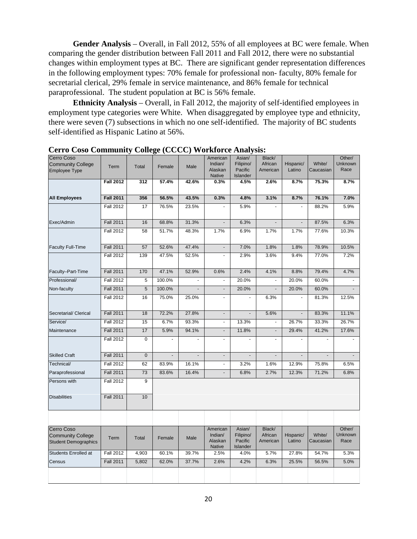**Gender Analysis** – Overall, in Fall 2012, 55% of all employees at BC were female. When comparing the gender distribution between Fall 2011 and Fall 2012, there were no substantial changes within employment types at BC. There are significant gender representation differences in the following employment types: 70% female for professional non- faculty, 80% female for secretarial clerical, 29% female in service maintenance, and 86% female for technical paraprofessional. The student population at BC is 56% female.

**Ethnicity Analysis** – Overall, in Fall 2012, the majority of self-identified employees in employment type categories were White. When disaggregated by employee type and ethnicity, there were seven (7) subsections in which no one self-identified. The majority of BC students self-identified as Hispanic Latino at 56%.

| Cerro Coso<br><b>Community College</b><br><b>Employee Type</b>        | Term             | Total       | Female         | Male                     | American<br>Indian/<br>Alaskan<br><b>Native</b> | Asian/<br>Filipino/<br>Pacific<br>Islander | Black/<br>African<br>American | Hispanic/<br>Latino      | White/<br>Caucasian | Other/<br><b>Unknown</b><br>Race |
|-----------------------------------------------------------------------|------------------|-------------|----------------|--------------------------|-------------------------------------------------|--------------------------------------------|-------------------------------|--------------------------|---------------------|----------------------------------|
|                                                                       | <b>Fall 2012</b> | 312         | 57.4%          | 42.6%                    | 0.3%                                            | 4.5%                                       | 2.6%                          | 8.7%                     | 75.3%               | 8.7%                             |
| <b>All Employees</b>                                                  | <b>Fall 2011</b> | 356         | 56.5%          | 43.5%                    | 0.3%                                            | 4.8%                                       | 3.1%                          | 8.7%                     | 76.1%               | 7.0%                             |
|                                                                       | <b>Fall 2012</b> | 17          | 76.5%          | 23.5%                    | $\sim$                                          | 5.9%                                       |                               | ä,                       | 88.2%               | 5.9%                             |
|                                                                       |                  |             |                |                          |                                                 |                                            |                               |                          |                     |                                  |
| Exec/Admin                                                            | <b>Fall 2011</b> | 16          | 68.8%          | 31.3%                    | $\omega$                                        | 6.3%                                       | $\blacksquare$                | $\overline{\phantom{a}}$ | 87.5%               | 6.3%                             |
|                                                                       | <b>Fall 2012</b> | 58          | 51.7%          | 48.3%                    | 1.7%                                            | 6.9%                                       | 1.7%                          | 1.7%                     | 77.6%               | 10.3%                            |
| <b>Faculty Full-Time</b>                                              | <b>Fall 2011</b> | 57          | 52.6%          | 47.4%                    | $\blacksquare$                                  | 7.0%                                       | 1.8%                          | 1.8%                     | 78.9%               | 10.5%                            |
|                                                                       | <b>Fall 2012</b> | 139         | 47.5%          | 52.5%                    | $\sim$                                          | 2.9%                                       | 3.6%                          | 9.4%                     | 77.0%               | 7.2%                             |
| Faculty-Part-Time                                                     | <b>Fall 2011</b> | 170         | 47.1%          | 52.9%                    | 0.6%                                            | 2.4%                                       | 4.1%                          | 8.8%                     | 79.4%               | 4.7%                             |
| Professional/                                                         | <b>Fall 2012</b> | 5           | 100.0%         |                          | $\omega$                                        | 20.0%                                      | $\blacksquare$                | 20.0%                    | 60.0%               |                                  |
| Non-faculty                                                           | <b>Fall 2011</b> | 5           | 100.0%         | $\overline{\phantom{0}}$ | $\overline{\phantom{a}}$                        | 20.0%                                      |                               | 20.0%                    | 60.0%               |                                  |
|                                                                       | <b>Fall 2012</b> | 16          | 75.0%          | 25.0%                    | $\Box$                                          | ä,                                         | 6.3%                          | ÷,                       | 81.3%               | 12.5%                            |
| Secretarial/ Clerical                                                 | <b>Fall 2011</b> | 18          | 72.2%          | 27.8%                    | $\blacksquare$                                  | $\blacksquare$                             | 5.6%                          | $\blacksquare$           | 83.3%               | 11.1%                            |
| Service/                                                              | <b>Fall 2012</b> | 15          | 6.7%           | 93.3%                    | $\Box$                                          | 13.3%                                      | $\blacksquare$                | 26.7%                    | 33.3%               | 26.7%                            |
| Maintenance                                                           | <b>Fall 2011</b> | 17          | 5.9%           | 94.1%                    | $\overline{\phantom{a}}$                        | 11.8%                                      | $\overline{\phantom{a}}$      | 29.4%                    | 41.2%               | 17.6%                            |
|                                                                       | <b>Fall 2012</b> | $\mathbf 0$ |                | $\overline{a}$           | $\blacksquare$                                  | ٠                                          | ÷                             | ä,                       |                     | ÷,                               |
| <b>Skilled Craft</b>                                                  | <b>Fall 2011</b> | $\mathbf 0$ | $\blacksquare$ | $\Box$                   | $\Box$                                          | $\blacksquare$                             | $\frac{1}{2}$                 | $\blacksquare$           | $\Box$              | $\overline{\phantom{a}}$         |
| Technical/                                                            | <b>Fall 2012</b> | 62          | 83.9%          | 16.1%                    | $\blacksquare$                                  | 3.2%                                       | 1.6%                          | 12.9%                    | 75.8%               | 6.5%                             |
| Paraprofessional                                                      | <b>Fall 2011</b> | 73          | 83.6%          | 16.4%                    | $\Box$                                          | 6.8%                                       | 2.7%                          | 12.3%                    | 71.2%               | 6.8%                             |
| Persons with                                                          | <b>Fall 2012</b> | 9           |                |                          |                                                 |                                            |                               |                          |                     |                                  |
| <b>Disabilities</b>                                                   | <b>Fall 2011</b> | 10          |                |                          |                                                 |                                            |                               |                          |                     |                                  |
|                                                                       |                  |             |                |                          |                                                 |                                            |                               |                          |                     |                                  |
| Cerro Coso<br><b>Community College</b><br><b>Student Demographics</b> | Term             | Total       | Female         | Male                     | American<br>Indian/<br>Alaskan<br><b>Native</b> | Asian/<br>Filipino/<br>Pacific<br>Islander | Black/<br>African<br>American | Hispanic/<br>Latino      | White/<br>Caucasian | Other/<br>Unknown<br>Race        |
| Students Enrolled at                                                  | <b>Fall 2012</b> | 4,903       | 60.1%          | 39.7%                    | 2.5%                                            | 4.0%                                       | 5.7%                          | 27.8%                    | 54.7%               | 5.3%                             |
| Census                                                                | <b>Fall 2011</b> | 5,802       | 62.0%          | 37.7%                    | 2.6%                                            | 4.2%                                       | 6.3%                          | 25.5%                    | 56.5%               | 5.0%                             |
|                                                                       |                  |             |                |                          |                                                 |                                            |                               |                          |                     |                                  |

**Cerro Coso Community College (CCCC) Workforce Analysis:**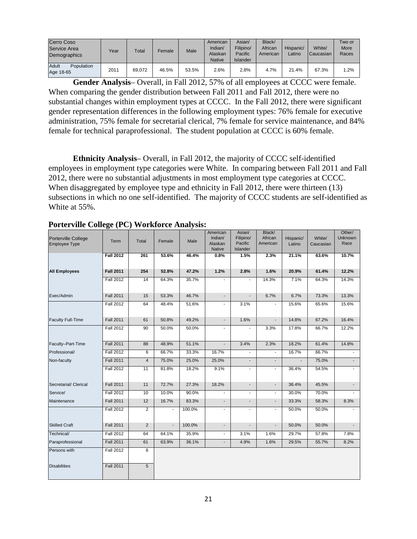| Cerro Coso<br>Service Area<br>Demographics | Year | Total  | Female | Male  | American<br>Indian/<br>Alaskan<br><b>Native</b> | Asian/<br>Filipino/<br>Pacific<br>Islander | Black/<br>African<br>American | Hispanic/<br>Latino | White/<br>Caucasian | Two or<br>More<br>Races |
|--------------------------------------------|------|--------|--------|-------|-------------------------------------------------|--------------------------------------------|-------------------------------|---------------------|---------------------|-------------------------|
| Adult<br>Population<br>Age 18-65           | 2011 | 69.072 | 46.5%  | 53.5% | 2.6%                                            | 2.8%                                       | 4.7%                          | 21.4%               | 67.3%               | 1.2%                    |

**Gender Analysis**– Overall, in Fall 2012, 57% of all employees at CCCC were female. When comparing the gender distribution between Fall 2011 and Fall 2012, there were no substantial changes within employment types at CCCC. In the Fall 2012, there were significant gender representation differences in the following employment types: 76% female for executive administration, 75% female for secretarial clerical, 7% female for service maintenance, and 84% female for technical paraprofessional. The student population at CCCC is 60% female.

**Ethnicity Analysis**– Overall, in Fall 2012, the majority of CCCC self-identified employees in employment type categories were White. In comparing between Fall 2011 and Fall 2012, there were no substantial adjustments in most employment type categories at CCCC. When disaggregated by employee type and ethnicity in Fall 2012, there were thirteen (13) subsections in which no one self-identified. The majority of CCCC students are self-identified as White at 55%.

| Porterville College<br><b>Employee Type</b> | Term             | Total          | Female                   | Male   | American<br>Indian/<br>Alaskan<br><b>Native</b> | Asian/<br>Filipino/<br>Pacific<br>Islander | Black/<br>African<br>American | Hispanic/<br>Latino | White/<br>Caucasian | Other/<br>Unknown<br>Race |
|---------------------------------------------|------------------|----------------|--------------------------|--------|-------------------------------------------------|--------------------------------------------|-------------------------------|---------------------|---------------------|---------------------------|
|                                             | <b>Fall 2012</b> | 261            | 53.6%                    | 46.4%  | 0.8%                                            | 1.5%                                       | 2.3%                          | 21.1%               | 63.6%               | 10.7%                     |
| <b>All Employees</b>                        | <b>Fall 2011</b> | 254            | 52.8%                    | 47.2%  | 1.2%                                            | 2.8%                                       | 1.6%                          | 20.9%               | 61.4%               | 12.2%                     |
|                                             | <b>Fall 2012</b> | 14             | 64.3%                    | 35.7%  | $\blacksquare$                                  |                                            | 14.3%                         | 7.1%                | 64.3%               | 14.3%                     |
| Exec/Admin                                  | <b>Fall 2011</b> | 15             | 53.3%                    | 46.7%  | $\overline{\phantom{a}}$                        | ÷.                                         | 6.7%                          | 6.7%                | 73.3%               | 13.3%                     |
|                                             | <b>Fall 2012</b> | 64             | 48.4%                    | 51.6%  | $\blacksquare$                                  | 3.1%                                       | $\blacksquare$                | 15.6%               | 65.6%               | 15.6%                     |
| <b>Faculty Full-Time</b>                    | <b>Fall 2011</b> | 61             | 50.8%                    | 49.2%  | $\sim$                                          | 1.6%                                       | $\blacksquare$                | 14.8%               | 67.2%               | 16.4%                     |
|                                             | <b>Fall 2012</b> | 90             | 50.0%                    | 50.0%  | $\blacksquare$                                  |                                            | 3.3%                          | 17.8%               | 66.7%               | 12.2%                     |
| Faculty-Part-Time                           | <b>Fall 2011</b> | 88             | 48.9%                    | 51.1%  | $\blacksquare$                                  | 3.4%                                       | 2.3%                          | 18.2%               | 61.4%               | 14.8%                     |
| Professional/                               | <b>Fall 2012</b> | 6              | 66.7%                    | 33.3%  | 16.7%                                           | $\overline{\phantom{a}}$                   | $\overline{\phantom{a}}$      | 16.7%               | 66.7%               |                           |
| Non-faculty                                 | <b>Fall 2011</b> | $\overline{4}$ | 75.0%                    | 25.0%  | 25.0%                                           | $\blacksquare$                             | $\blacksquare$                |                     | 75.0%               | $\overline{\phantom{a}}$  |
|                                             | <b>Fall 2012</b> | 11             | 81.8%                    | 18.2%  | 9.1%                                            | $\overline{\phantom{a}}$                   | $\overline{\phantom{a}}$      | 36.4%               | 54.5%               |                           |
| Secretarial/ Clerical                       | <b>Fall 2011</b> | 11             | 72.7%                    | 27.3%  | 18.2%                                           | $\blacksquare$                             | $\sim$                        | 36.4%               | 45.5%               | $\blacksquare$            |
| Service/                                    | <b>Fall 2012</b> | 10             | 10.0%                    | 90.0%  | $\blacksquare$                                  | $\overline{\phantom{a}}$                   | $\blacksquare$                | 30.0%               | 70.0%               |                           |
| Maintenance                                 | <b>Fall 2011</b> | 12             | 16.7%                    | 83.3%  | $\overline{\phantom{a}}$                        | $\blacksquare$                             | $\overline{\phantom{a}}$      | 33.3%               | 58.3%               | 8.3%                      |
|                                             | <b>Fall 2012</b> | $\overline{2}$ | $\overline{\phantom{a}}$ | 100.0% | $\overline{\phantom{a}}$                        | $\overline{\phantom{a}}$                   | $\overline{\phantom{a}}$      | 50.0%               | 50.0%               |                           |
| <b>Skilled Craft</b>                        | <b>Fall 2011</b> | 2              | $\blacksquare$           | 100.0% | $\sim$                                          | $\overline{\phantom{a}}$                   | $\blacksquare$                | 50.0%               | 50.0%               | $\overline{\phantom{a}}$  |
| Technical/                                  | <b>Fall 2012</b> | 64             | 64.1%                    | 35.9%  | $\sim$                                          | 3.1%                                       | 1.6%                          | 29.7%               | 57.8%               | 7.8%                      |
| Paraprofessional                            | <b>Fall 2011</b> | 61             | 63.9%                    | 36.1%  | $\blacksquare$                                  | 4.9%                                       | 1.6%                          | 29.5%               | 55.7%               | 8.2%                      |
| Persons with                                | <b>Fall 2012</b> | 6              |                          |        |                                                 |                                            |                               |                     |                     |                           |
| <b>Disabilities</b>                         | <b>Fall 2011</b> | $\overline{5}$ |                          |        |                                                 |                                            |                               |                     |                     |                           |

#### **Porterville College (PC) Workforce Analysis:**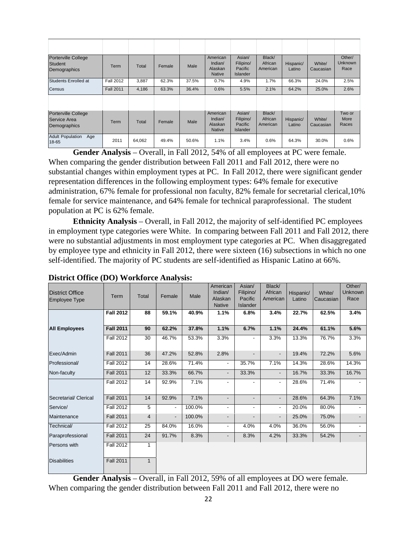| <b>Porterville College</b><br><b>Student</b><br>Demographics | Term             | Total  | Female | Male  | American<br>Indian/<br>Alaskan<br><b>Native</b> | Asian/<br>Filipino/<br>Pacific<br><b>Islander</b> | Black/<br>African<br>American | Hispanic/<br>Latino | White/<br>Caucasian | Other/<br>Unknown<br>Race |
|--------------------------------------------------------------|------------------|--------|--------|-------|-------------------------------------------------|---------------------------------------------------|-------------------------------|---------------------|---------------------|---------------------------|
| Students Enrolled at                                         | <b>Fall 2012</b> | 3,887  | 62.3%  | 37.5% | 0.7%                                            | 4.9%                                              | 1.7%                          | 66.3%               | 24.0%               | 2.5%                      |
| <b>Census</b>                                                | <b>Fall 2011</b> | 4,186  | 63.3%  | 36.4% | 0.6%                                            | 5.5%                                              | 2.1%                          | 64.2%               | 25.0%               | 2.6%                      |
|                                                              |                  |        |        |       |                                                 |                                                   |                               |                     |                     |                           |
| Porterville College<br>Service Area<br>Demographics          | Term             | Total  | Female | Male  | American<br>Indian/<br>Alaskan<br><b>Native</b> | Asian/<br>Filipino/<br>Pacific<br><b>Islander</b> | Black/<br>African<br>American | Hispanic/<br>Latino | White/<br>Caucasian | Two or<br>More<br>Races   |
| <b>Adult Population</b><br>Age<br>18-65                      | 2011             | 64,062 | 49.4%  | 50.6% | 1.1%                                            | 3.4%                                              | 0.6%                          | 64.3%               | 30.0%               | 0.6%                      |

**Gender Analysis** – Overall, in Fall 2012, 54% of all employees at PC were female. When comparing the gender distribution between Fall 2011 and Fall 2012, there were no substantial changes within employment types at PC. In Fall 2012, there were significant gender representation differences in the following employment types: 64% female for executive administration, 67% female for professional non faculty, 82% female for secretarial clerical,10% female for service maintenance, and 64% female for technical paraprofessional. The student population at PC is 62% female.

**Ethnicity Analysis** – Overall, in Fall 2012, the majority of self-identified PC employees in employment type categories were White. In comparing between Fall 2011 and Fall 2012, there were no substantial adjustments in most employment type categories at PC. When disaggregated by employee type and ethnicity in Fall 2012, there were sixteen (16) subsections in which no one self-identified. The majority of PC students are self-identified as Hispanic Latino at 66%.

|                        |                  |                |                          |        | American                 | Asian/                   | Black/                   |           |           | Other/         |
|------------------------|------------------|----------------|--------------------------|--------|--------------------------|--------------------------|--------------------------|-----------|-----------|----------------|
| <b>District Office</b> | Term             | <b>Total</b>   | Female                   | Male   | Indian/                  | Filipino/                | African                  | Hispanic/ | White/    | Unknown        |
| <b>Employee Type</b>   |                  |                |                          |        | Alaskan                  | Pacific                  | American                 | Latino    | Caucasian | Race           |
|                        |                  |                |                          |        | <b>Native</b>            | Islander                 |                          |           |           |                |
|                        | <b>Fall 2012</b> | 88             | 59.1%                    | 40.9%  | 1.1%                     | 6.8%                     | 3.4%                     | 22.7%     | 62.5%     | 3.4%           |
|                        |                  |                |                          |        |                          |                          |                          |           |           |                |
| <b>All Employees</b>   | <b>Fall 2011</b> | 90             | 62.2%                    | 37.8%  | 1.1%                     | 6.7%                     | 1.1%                     | 24.4%     | 61.1%     | 5.6%           |
|                        | <b>Fall 2012</b> | 30             | 46.7%                    | 53.3%  | 3.3%                     | $\blacksquare$           | 3.3%                     | 13.3%     | 76.7%     | 3.3%           |
| Exec/Admin             | <b>Fall 2011</b> | 36             | 47.2%                    | 52.8%  | 2.8%                     |                          | $\overline{\phantom{a}}$ | 19.4%     | 72.2%     | 5.6%           |
| Professional/          | <b>Fall 2012</b> | 14             | 28.6%                    | 71.4%  | $\overline{\phantom{a}}$ | 35.7%                    | 7.1%                     | 14.3%     | 28.6%     | 14.3%          |
| Non-faculty            | <b>Fall 2011</b> | 12             | 33.3%                    | 66.7%  | $\overline{\phantom{a}}$ | 33.3%                    | $\overline{\phantom{a}}$ | 16.7%     | 33.3%     | 16.7%          |
|                        | <b>Fall 2012</b> | 14             | 92.9%                    | 7.1%   | $\overline{\phantom{a}}$ |                          | $\overline{\phantom{a}}$ | 28.6%     | 71.4%     |                |
| Secretarial/ Clerical  | <b>Fall 2011</b> | 14             | 92.9%                    | 7.1%   | $\overline{\phantom{a}}$ | $\blacksquare$           | $\overline{\phantom{a}}$ | 28.6%     | 64.3%     | 7.1%           |
| Service/               | <b>Fall 2012</b> | 5              | ۰.                       | 100.0% | $\overline{\phantom{a}}$ | $\overline{\phantom{a}}$ | $\overline{\phantom{a}}$ | 20.0%     | 80.0%     |                |
| Maintenance            | <b>Fall 2011</b> | $\overline{4}$ | $\overline{\phantom{a}}$ | 100.0% | -                        | $\overline{\phantom{a}}$ | $\overline{\phantom{a}}$ | 25.0%     | 75.0%     |                |
| Technical/             | <b>Fall 2012</b> | 25             | 84.0%                    | 16.0%  | -                        | 4.0%                     | 4.0%                     | 36.0%     | 56.0%     | $\blacksquare$ |
| Paraprofessional       | <b>Fall 2011</b> | 24             | 91.7%                    | 8.3%   | $\overline{\phantom{a}}$ | 8.3%                     | 4.2%                     | 33.3%     | 54.2%     |                |
| Persons with           | <b>Fall 2012</b> | 1              |                          |        |                          |                          |                          |           |           |                |
| <b>Disabilities</b>    | <b>Fall 2011</b> | $\mathbf{1}$   |                          |        |                          |                          |                          |           |           |                |

# **District Office (DO) Workforce Analysis:**

**Gender Analysis** – Overall, in Fall 2012, 59% of all employees at DO were female. When comparing the gender distribution between Fall 2011 and Fall 2012, there were no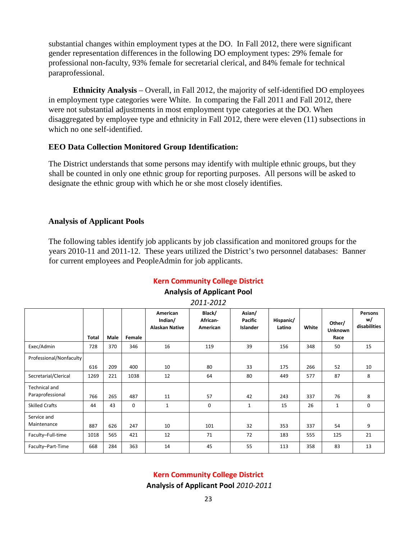substantial changes within employment types at the DO. In Fall 2012, there were significant gender representation differences in the following DO employment types: 29% female for professional non-faculty, 93% female for secretarial clerical, and 84% female for technical paraprofessional.

**Ethnicity Analysis** – Overall, in Fall 2012, the majority of self-identified DO employees in employment type categories were White. In comparing the Fall 2011 and Fall 2012, there were not substantial adjustments in most employment type categories at the DO. When disaggregated by employee type and ethnicity in Fall 2012, there were eleven (11) subsections in which no one self-identified.

#### **EEO Data Collection Monitored Group Identification:**

The District understands that some persons may identify with multiple ethnic groups, but they shall be counted in only one ethnic group for reporting purposes. All persons will be asked to designate the ethnic group with which he or she most closely identifies.

#### **Analysis of Applicant Pools**

The following tables identify job applicants by job classification and monitored groups for the years 2010-11 and 2011-12. These years utilized the District's two personnel databases: Banner for current employees and PeopleAdmin for job applicants.

# **Kern Community College District**

#### **Analysis of Applicant Pool**

| 2011-2012               |       |      |             |                                              |                                |                                      |                     |       |                                  |                               |  |  |
|-------------------------|-------|------|-------------|----------------------------------------------|--------------------------------|--------------------------------------|---------------------|-------|----------------------------------|-------------------------------|--|--|
|                         | Total | Male | Female      | American<br>Indian/<br><b>Alaskan Native</b> | Black/<br>African-<br>American | Asian/<br>Pacific<br><b>Islander</b> | Hispanic/<br>Latino | White | Other/<br><b>Unknown</b><br>Race | Persons<br>w/<br>disabilities |  |  |
| Exec/Admin              | 728   | 370  | 346         | 16                                           | 119                            | 39                                   | 156                 | 348   | 50                               | 15                            |  |  |
| Professional/Nonfaculty |       |      |             |                                              |                                |                                      |                     |       |                                  |                               |  |  |
|                         | 616   | 209  | 400         | 10                                           | 80                             | 33                                   | 175                 | 266   | 52                               | 10                            |  |  |
| Secretarial/Clerical    | 1269  | 221  | 1038        | 12                                           | 64                             | 80                                   | 449                 | 577   | 87                               | 8                             |  |  |
| <b>Technical and</b>    |       |      |             |                                              |                                |                                      |                     |       |                                  |                               |  |  |
| Paraprofessional        | 766   | 265  | 487         | 11                                           | 57                             | 42                                   | 243                 | 337   | 76                               | 8                             |  |  |
| <b>Skilled Crafts</b>   | 44    | 43   | $\mathbf 0$ | $\mathbf{1}$                                 | $\mathbf 0$                    | $\mathbf{1}$                         | 15                  | 26    | $\mathbf{1}$                     | $\mathbf 0$                   |  |  |
| Service and             |       |      |             |                                              |                                |                                      |                     |       |                                  |                               |  |  |
| Maintenance             | 887   | 626  | 247         | 10                                           | 101                            | 32                                   | 353                 | 337   | 54                               | 9                             |  |  |
| Faculty-Full-time       | 1018  | 565  | 421         | 12                                           | 71                             | 72                                   | 183                 | 555   | 125                              | 21                            |  |  |
| Faculty-Part-Time       | 668   | 284  | 363         | 14                                           | 45                             | 55                                   | 113                 | 358   | 83                               | 13                            |  |  |

*2011-2012*

#### **Kern Community College District**

**Analysis of Applicant Pool** *2010-2011*